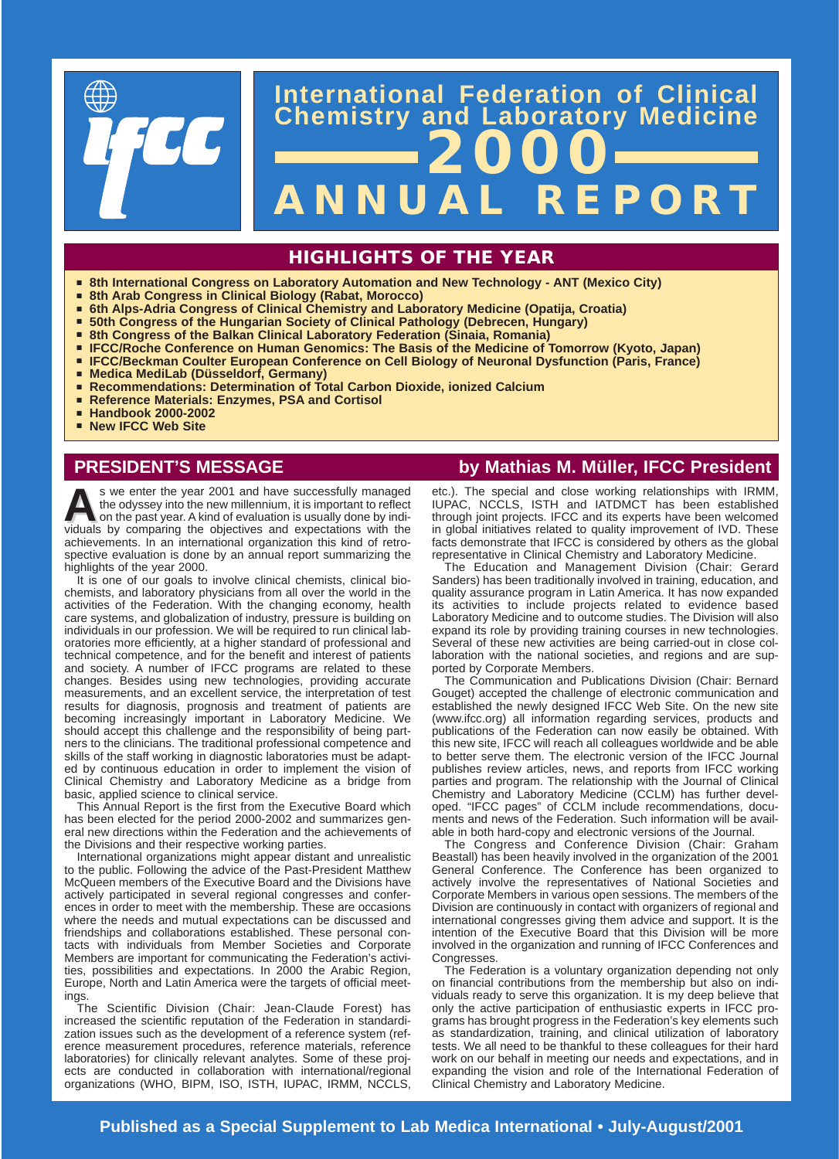

# **ANNUAL REPORT International Federation of Clinical Chemistry and Laboratory Medicine 2000**

# **HIGHLIGHTS OF THE YEAR**

- **Bighthare 8th International Congress on Laboratory Automation and New Technology ANT (Mexico City)**
- <sup>à</sup> **8th Arab Congress in Clinical Biology (Rabat, Morocco)**
- <sup>à</sup> **6th Alps-Adria Congress of Clinical Chemistry and Laboratory Medicine (Opatija, Croatia)**
- **Examps 1 Solth Congress of the Hungarian Society of Clinical Pathology (Debrecen, Hungary)**
- **Extem Barata Sepannism Construment Construment Congress of the Balkan Consett Sepannia)**
- <sup>à</sup> **IFCC/Roche Conference on Human Genomics: The Basis of the Medicine of Tomorrow (Kyoto, Japan)**
- <sup>à</sup> **IFCC/Beckman Coulter European Conference on Cell Biology of Neuronal Dysfunction (Paris, France)**
- Medica MediLab (Düsseldorf, Germany)
- **Recommendations: Determination of Total Carbon Dioxide, ionized Calcium**
- <sup>à</sup> **Reference Materials: Enzymes, PSA and Cortisol**
- <sup>à</sup> **Handbook 2000-2002**
- <sup>à</sup> **New IFCC Web Site**

**As we enter the year 2001 and have successfully managed<br>the odyssey into the new millennium, it is important to reflect<br>dome by indi-<br>the past year. A kind of evaluation is usually done by indi-<br>the particle by comparing** the odyssey into the new millennium, it is important to reflect viduals by comparing the objectives and expectations with the achievements. In an international organization this kind of retrospective evaluation is done by an annual report summarizing the highlights of the year 2000.

It is one of our goals to involve clinical chemists, clinical biochemists, and laboratory physicians from all over the world in the activities of the Federation. With the changing economy, health care systems, and globalization of industry, pressure is building on individuals in our profession. We will be required to run clinical laboratories more efficiently, at a higher standard of professional and technical competence, and for the benefit and interest of patients and society. A number of IFCC programs are related to these changes. Besides using new technologies, providing accurate measurements, and an excellent service, the interpretation of test results for diagnosis, prognosis and treatment of patients are becoming increasingly important in Laboratory Medicine. We should accept this challenge and the responsibility of being partners to the clinicians. The traditional professional competence and skills of the staff working in diagnostic laboratories must be adapted by continuous education in order to implement the vision of Clinical Chemistry and Laboratory Medicine as a bridge from basic, applied science to clinical service.

This Annual Report is the first from the Executive Board which has been elected for the period 2000-2002 and summarizes general new directions within the Federation and the achievements of the Divisions and their respective working parties.

International organizations might appear distant and unrealistic to the public. Following the advice of the Past-President Matthew McQueen members of the Executive Board and the Divisions have actively participated in several regional congresses and conferences in order to meet with the membership. These are occasions where the needs and mutual expectations can be discussed and friendships and collaborations established. These personal contacts with individuals from Member Societies and Corporate Members are important for communicating the Federation's activities, possibilities and expectations. In 2000 the Arabic Region, Europe, North and Latin America were the targets of official meetings.

The Scientific Division (Chair: Jean-Claude Forest) has increased the scientific reputation of the Federation in standardization issues such as the development of a reference system (reference measurement procedures, reference materials, reference laboratories) for clinically relevant analytes. Some of these projects are conducted in collaboration with international/regional organizations (WHO, BIPM, ISO, ISTH, IUPAC, IRMM, NCCLS,

# **PRESIDENT'S MESSAGE by Mathias M. Müller, IFCC President**

etc.). The special and close working relationships with IRMM, IUPAC, NCCLS, ISTH and IATDMCT has been established through joint projects. IFCC and its experts have been welcomed in global initiatives related to quality improvement of IVD. These facts demonstrate that IFCC is considered by others as the global representative in Clinical Chemistry and Laboratory Medicine.

The Education and Management Division (Chair: Gerard Sanders) has been traditionally involved in training, education, and quality assurance program in Latin America. It has now expanded its activities to include projects related to evidence based Laboratory Medicine and to outcome studies. The Division will also expand its role by providing training courses in new technologies. Several of these new activities are being carried-out in close collaboration with the national societies, and regions and are supported by Corporate Members.

The Communication and Publications Division (Chair: Bernard Gouget) accepted the challenge of electronic communication and established the newly designed IFCC Web Site. On the new site (www.ifcc.org) all information regarding services, products and publications of the Federation can now easily be obtained. With this new site, IFCC will reach all colleagues worldwide and be able to better serve them. The electronic version of the IFCC Journal publishes review articles, news, and reports from IFCC working parties and program. The relationship with the Journal of Clinical Chemistry and Laboratory Medicine (CCLM) has further developed. "IFCC pages" of CCLM include recommendations, documents and news of the Federation. Such information will be available in both hard-copy and electronic versions of the Journal.

The Congress and Conference Division (Chair: Graham Beastall) has been heavily involved in the organization of the 2001 General Conference. The Conference has been organized to actively involve the representatives of National Societies and Corporate Members in various open sessions. The members of the Division are continuously in contact with organizers of regional and international congresses giving them advice and support. It is the intention of the Executive Board that this Division will be more involved in the organization and running of IFCC Conferences and Congresses.

The Federation is a voluntary organization depending not only on financial contributions from the membership but also on individuals ready to serve this organization. It is my deep believe that only the active participation of enthusiastic experts in IFCC programs has brought progress in the Federation's key elements such as standardization, training, and clinical utilization of laboratory tests. We all need to be thankful to these colleagues for their hard work on our behalf in meeting our needs and expectations, and in expanding the vision and role of the International Federation of Clinical Chemistry and Laboratory Medicine.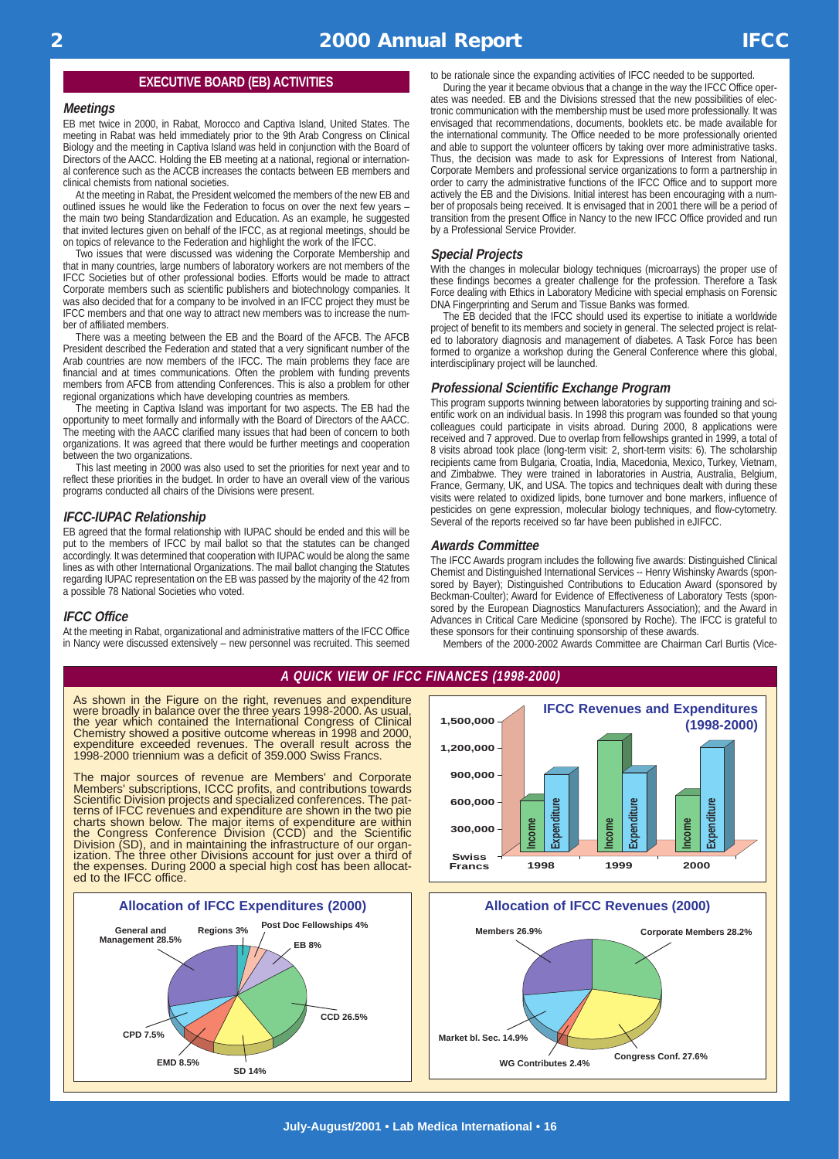## **EXECUTIVE BOARD (EB) ACTIVITIES**

### **Meetings**

EB met twice in 2000, in Rabat, Morocco and Captiva Island, United States. The meeting in Rabat was held immediately prior to the 9th Arab Congress on Clinical Biology and the meeting in Captiva Island was held in conjunction with the Board of Directors of the AACC. Holding the EB meeting at a national, regional or international conference such as the ACCB increases the contacts between EB members and clinical chemists from national societies.

At the meeting in Rabat, the President welcomed the members of the new EB and outlined issues he would like the Federation to focus on over the next few years – the main two being Standardization and Education. As an example, he suggested that invited lectures given on behalf of the IFCC, as at regional meetings, should be on topics of relevance to the Federation and highlight the work of the IFCC.

Two issues that were discussed was widening the Corporate Membership and that in many countries, large numbers of laboratory workers are not members of the IFCC Societies but of other professional bodies. Efforts would be made to attract Corporate members such as scientific publishers and biotechnology companies. It was also decided that for a company to be involved in an IFCC project they must be IFCC members and that one way to attract new members was to increase the number of affiliated members.

There was a meeting between the EB and the Board of the AFCB. The AFCB President described the Federation and stated that a very significant number of the Arab countries are now members of the IFCC. The main problems they face are financial and at times communications. Often the problem with funding prevents members from AFCB from attending Conferences. This is also a problem for other regional organizations which have developing countries as members.

The meeting in Captiva Island was important for two aspects. The EB had the opportunity to meet formally and informally with the Board of Directors of the AACC. The meeting with the AACC clarified many issues that had been of concern to both organizations. It was agreed that there would be further meetings and cooperation between the two organizations.

This last meeting in 2000 was also used to set the priorities for next year and to reflect these priorities in the budget. In order to have an overall view of the various programs conducted all chairs of the Divisions were present.

### **IFCC-IUPAC Relationship**

EB agreed that the formal relationship with IUPAC should be ended and this will be put to the members of IFCC by mail ballot so that the statutes can be changed accordingly. It was determined that cooperation with IUPAC would be along the same lines as with other International Organizations. The mail ballot changing the Statutes regarding IUPAC representation on the EB was passed by the majority of the 42 from a possible 78 National Societies who voted.

### **IFCC Office**

At the meeting in Rabat, organizational and administrative matters of the IFCC Office in Nancy were discussed extensively – new personnel was recruited. This seemed to be rationale since the expanding activities of IFCC needed to be supported. During the year it became obvious that a change in the way the IFCC Office operates was needed. EB and the Divisions stressed that the new possibilities of electronic communication with the membership must be used more professionally. It was envisaged that recommendations, documents, booklets etc. be made available for the international community. The Office needed to be more professionally oriented and able to support the volunteer officers by taking over more administrative tasks. Thus, the decision was made to ask for Expressions of Interest from National, Corporate Members and professional service organizations to form a partnership in order to carry the administrative functions of the IFCC Office and to support more actively the EB and the Divisions. Initial interest has been encouraging with a number of proposals being received. It is envisaged that in 2001 there will be a period of transition from the present Office in Nancy to the new IFCC Office provided and run by a Professional Service Provider.

### **Special Projects**

With the changes in molecular biology techniques (microarrays) the proper use of these findings becomes a greater challenge for the profession. Therefore a Task Force dealing with Ethics in Laboratory Medicine with special emphasis on Forensic DNA Fingerprinting and Serum and Tissue Banks was formed.

The EB decided that the IFCC should used its expertise to initiate a worldwide project of benefit to its members and society in general. The selected project is related to laboratory diagnosis and management of diabetes. A Task Force has been formed to organize a workshop during the General Conference where this global, interdisciplinary project will be launched.

### **Professional Scientific Exchange Program**

This program supports twinning between laboratories by supporting training and scientific work on an individual basis. In 1998 this program was founded so that young colleagues could participate in visits abroad. During 2000, 8 applications were received and 7 approved. Due to overlap from fellowships granted in 1999, a total of 8 visits abroad took place (long-term visit: 2, short-term visits: 6). The scholarship recipients came from Bulgaria, Croatia, India, Macedonia, Mexico, Turkey, Vietnam, and Zimbabwe. They were trained in laboratories in Austria, Australia, Belgium, France, Germany, UK, and USA. The topics and techniques dealt with during these visits were related to oxidized lipids, bone turnover and bone markers, influence of pesticides on gene expression, molecular biology techniques, and flow-cytometry. Several of the reports received so far have been published in eJIFCC.

### **Awards Committee**

The IFCC Awards program includes the following five awards: Distinguished Clinical Chemist and Distinguished International Services -- Henry Wishinsky Awards (sponsored by Bayer); Distinguished Contributions to Education Award (sponsored by Beckman-Coulter); Award for Evidence of Effectiveness of Laboratory Tests (sponsored by the European Diagnostics Manufacturers Association); and the Award in Advances in Critical Care Medicine (sponsored by Roche). The IFCC is grateful to these sponsors for their continuing sponsorship of these awards.

Members of the 2000-2002 Awards Committee are Chairman Carl Burtis (Vice-

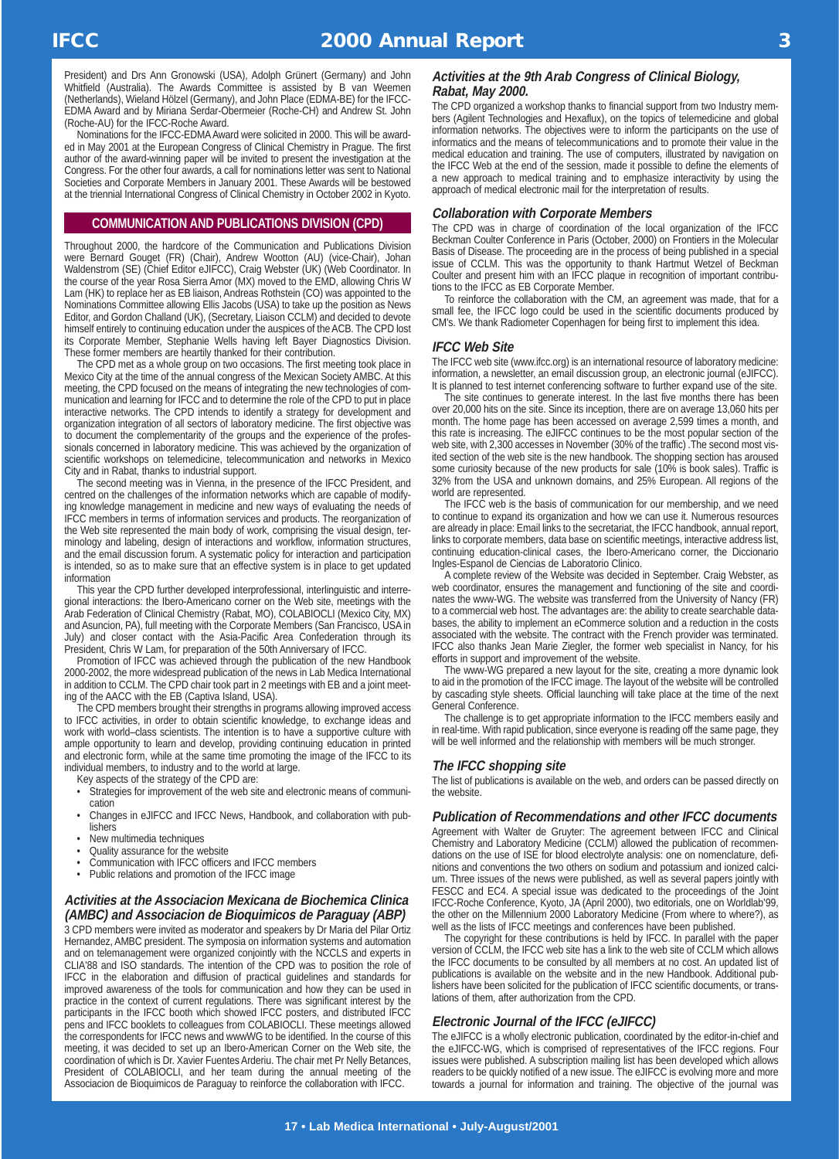President) and Drs Ann Gronowski (USA), Adolph Grünert (Germany) and John Whitfield (Australia). The Awards Committee is assisted by B van Weemen (Netherlands), Wieland Hölzel (Germany), and John Place (EDMA-BE) for the IFCC-EDMA Award and by Miriana Serdar-Obermeier (Roche-CH) and Andrew St. John (Roche-AU) for the IFCC-Roche Award.

Nominations for the IFCC-EDMAAward were solicited in 2000. This will be awarded in May 2001 at the European Congress of Clinical Chemistry in Prague. The first author of the award-winning paper will be invited to present the investigation at the Congress. For the other four awards, a call for nominations letter was sent to National Societies and Corporate Members in January 2001. These Awards will be bestowed at the triennial International Congress of Clinical Chemistry in October 2002 in Kyoto.

# **COMMUNICATION AND PUBLICATIONS DIVISION (CPD)**

Throughout 2000, the hardcore of the Communication and Publications Division were Bernard Gouget (FR) (Chair), Andrew Wootton (AU) (vice-Chair), Johan Waldenstrom (SE) (Chief Editor eJIFCC), Craig Webster (UK) (Web Coordinator. In the course of the year Rosa Sierra Amor (MX) moved to the EMD, allowing Chris W Lam (HK) to replace her as EB liaison, Andreas Rothstein (CO) was appointed to the Nominations Committee allowing Ellis Jacobs (USA) to take up the position as News Editor, and Gordon Challand (UK), (Secretary, Liaison CCLM) and decided to devote himself entirely to continuing education under the auspices of the ACB. The CPD lost its Corporate Member, Stephanie Wells having left Bayer Diagnostics Division. These former members are heartily thanked for their contribution.

The CPD met as a whole group on two occasions. The first meeting took place in Mexico City at the time of the annual congress of the Mexican Society AMBC. At this meeting, the CPD focused on the means of integrating the new technologies of communication and learning for IFCC and to determine the role of the CPD to put in place interactive networks. The CPD intends to identify a strategy for development and organization integration of all sectors of laboratory medicine. The first objective was to document the complementarity of the groups and the experience of the professionals concerned in laboratory medicine. This was achieved by the organization of scientific workshops on telemedicine, telecommunication and networks in Mexico City and in Rabat, thanks to industrial support.

The second meeting was in Vienna, in the presence of the IFCC President, and centred on the challenges of the information networks which are capable of modifying knowledge management in medicine and new ways of evaluating the needs of IFCC members in terms of information services and products. The reorganization of the Web site represented the main body of work, comprising the visual design, terminology and labeling, design of interactions and workflow, information structures, and the email discussion forum. A systematic policy for interaction and participation is intended, so as to make sure that an effective system is in place to get updated information

This year the CPD further developed interprofessional, interlinguistic and interregional interactions: the Ibero-Americano corner on the Web site, meetings with the Arab Federation of Clinical Chemistry (Rabat, MO), COLABIOCLI (Mexico City, MX) and Asuncion, PA), full meeting with the Corporate Members (San Francisco, USA in July) and closer contact with the Asia-Pacific Area Confederation through its President, Chris W Lam, for preparation of the 50th Anniversary of IFCC.

Promotion of IFCC was achieved through the publication of the new Handbook 2000-2002, the more widespread publication of the news in Lab Medica International in addition to CCLM. The CPD chair took part in 2 meetings with EB and a joint meeting of the AACC with the EB (Captiva Island, USA).

The CPD members brought their strengths in programs allowing improved access to IFCC activities, in order to obtain scientific knowledge, to exchange ideas and work with world–class scientists. The intention is to have a supportive culture with ample opportunity to learn and develop, providing continuing education in printed and electronic form, while at the same time promoting the image of the IFCC to its individual members, to industry and to the world at large.

Key aspects of the strategy of the CPD are:

- Strategies for improvement of the web site and electronic means of communication
- Changes in eJIFCC and IFCC News, Handbook, and collaboration with publishers
- New multimedia techniques
- Quality assurance for the website
- Communication with IFCC officers and IFCC members
- Public relations and promotion of the IFCC image

# **Activities at the Associacion Mexicana de Biochemica Clinica (AMBC) and Associacion de Bioquimicos de Paraguay (ABP)**

3 CPD members were invited as moderator and speakers by Dr Maria del Pilar Ortiz Hernandez, AMBC president. The symposia on information systems and automation and on telemanagement were organized conjointly with the NCCLS and experts in CLIA'88 and ISO standards. The intention of the CPD was to position the role of IFCC in the elaboration and diffusion of practical guidelines and standards for improved awareness of the tools for communication and how they can be used in practice in the context of current regulations. There was significant interest by the participants in the IFCC booth which showed IFCC posters, and distributed IFCC pens and IFCC booklets to colleagues from COLABIOCLI. These meetings allowed the correspondents for IFCC news and wwwWG to be identified. In the course of this meeting, it was decided to set up an Ibero-American Corner on the Web site, the coordination of which is Dr. Xavier Fuentes Arderiu. The chair met Pr Nelly Betances, President of COLABIOCLI, and her team during the annual meeting of the Associacion de Bioquimicos de Paraguay to reinforce the collaboration with IFCC.

# **Activities at the 9th Arab Congress of Clinical Biology, Rabat, May 2000.**

The CPD organized a workshop thanks to financial support from two Industry members (Agilent Technologies and Hexaflux), on the topics of telemedicine and global information networks. The objectives were to inform the participants on the use of informatics and the means of telecommunications and to promote their value in the medical education and training. The use of computers, illustrated by navigation on the IFCC Web at the end of the session, made it possible to define the elements of a new approach to medical training and to emphasize interactivity by using the approach of medical electronic mail for the interpretation of results.

### **Collaboration with Corporate Members**

The CPD was in charge of coordination of the local organization of the IFCC Beckman Coulter Conference in Paris (October, 2000) on Frontiers in the Molecular Basis of Disease. The proceeding are in the process of being published in a special issue of CCLM. This was the opportunity to thank Hartmut Wetzel of Beckman Coulter and present him with an IFCC plaque in recognition of important contributions to the IFCC as EB Corporate Member.

To reinforce the collaboration with the CM, an agreement was made, that for a small fee, the IFCC logo could be used in the scientific documents produced by CM's. We thank Radiometer Copenhagen for being first to implement this idea.

## **IFCC Web Site**

The IFCC web site (www.ifcc.org) is an international resource of laboratory medicine: information, a newsletter, an email discussion group, an electronic journal (eJIFCC). It is planned to test internet conferencing software to further expand use of the site.

The site continues to generate interest. In the last five months there has been over 20,000 hits on the site. Since its inception, there are on average 13,060 hits per month. The home page has been accessed on average 2,599 times a month, and this rate is increasing. The eJIFCC continues to be the most popular section of the web site, with 2,300 accesses in November (30% of the traffic). The second most visited section of the web site is the new handbook. The shopping section has aroused some curiosity because of the new products for sale (10% is book sales). Traffic is 32% from the USA and unknown domains, and 25% European. All regions of the world are represented.

The IFCC web is the basis of communication for our membership, and we need to continue to expand its organization and how we can use it. Numerous resources are already in place: Email links to the secretariat, the IFCC handbook, annual report, links to corporate members, data base on scientific meetings, interactive address list, continuing education-clinical cases, the Ibero-Americano corner, the Diccionario Ingles-Espanol de Ciencias de Laboratorio Clinico.

A complete review of the Website was decided in September. Craig Webster, as web coordinator, ensures the management and functioning of the site and coordinates the www-WG. The website was transferred from the University of Nancy (FR) to a commercial web host. The advantages are: the ability to create searchable databases, the ability to implement an eCommerce solution and a reduction in the costs associated with the website. The contract with the French provider was terminated. IFCC also thanks Jean Marie Ziegler, the former web specialist in Nancy, for his efforts in support and improvement of the website.

The www-WG prepared a new layout for the site, creating a more dynamic look to aid in the promotion of the IFCC image. The layout of the website will be controlled by cascading style sheets. Official launching will take place at the time of the next General Conference.

The challenge is to get appropriate information to the IFCC members easily and in real-time. With rapid publication, since everyone is reading off the same page, they will be well informed and the relationship with members will be much stronger.

## **The IFCC shopping site**

The list of publications is available on the web, and orders can be passed directly on the website.

## **Publication of Recommendations and other IFCC documents**

Agreement with Walter de Gruyter: The agreement between IFCC and Clinical Chemistry and Laboratory Medicine (CCLM) allowed the publication of recommendations on the use of ISE for blood electrolyte analysis: one on nomenclature, definitions and conventions the two others on sodium and potassium and ionized calcium. Three issues of the news were published, as well as several papers jointly with FESCC and EC4. A special issue was dedicated to the proceedings of the Joint IFCC-Roche Conference, Kyoto, JA (April 2000), two editorials, one on Worldlab'99, the other on the Millennium 2000 Laboratory Medicine (From where to where?), as well as the lists of IFCC meetings and conferences have been published.

The copyright for these contributions is held by IFCC. In parallel with the paper version of CCLM, the IFCC web site has a link to the web site of CCLM which allows the IFCC documents to be consulted by all members at no cost. An updated list of publications is available on the website and in the new Handbook. Additional publishers have been solicited for the publication of IFCC scientific documents, or translations of them, after authorization from the CPD.

## **Electronic Journal of the IFCC (eJIFCC)**

The eJIFCC is a wholly electronic publication, coordinated by the editor-in-chief and the eJIFCC-WG, which is comprised of representatives of the IFCC regions. Four issues were published. A subscription mailing list has been developed which allows readers to be quickly notified of a new issue. The eJIFCC is evolving more and more towards a journal for information and training. The objective of the journal was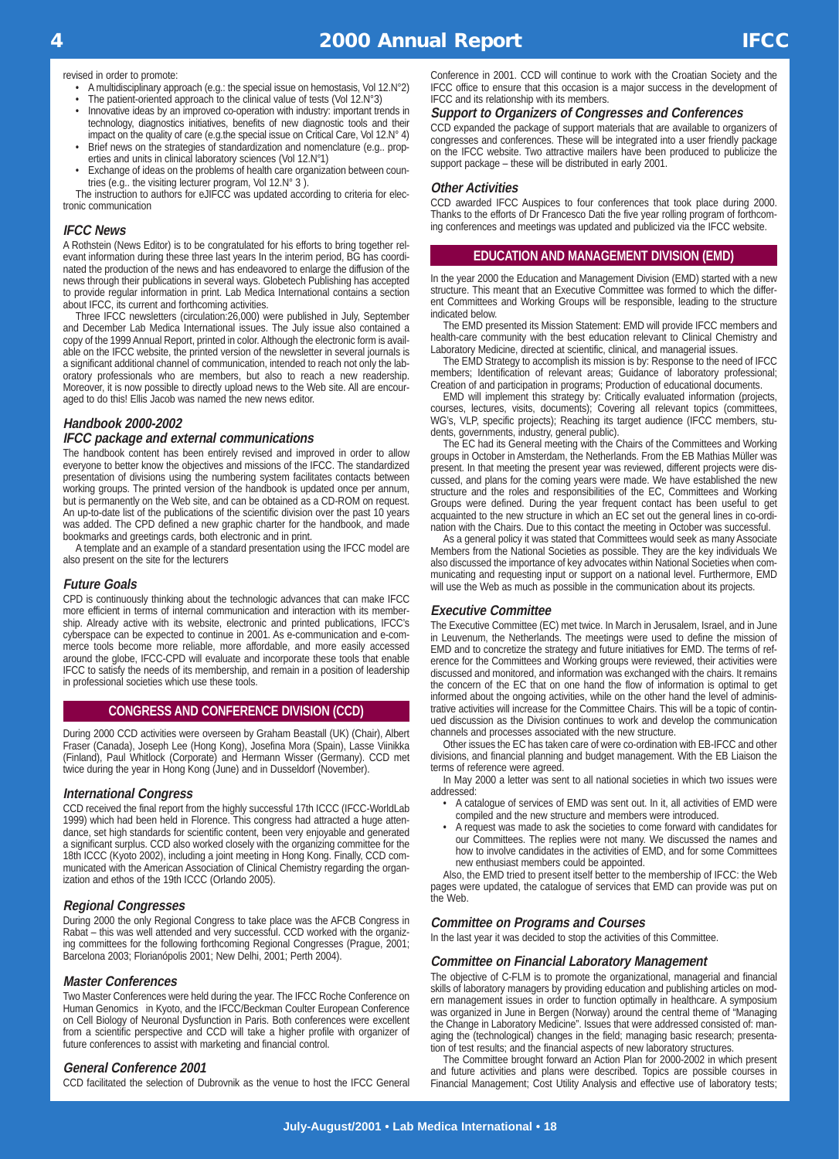revised in order to promote:

- A multidisciplinary approach (e.g.: the special issue on hemostasis, Vol 12.N°2)
- The patient-oriented approach to the clinical value of tests (Vol 12.N°3)
- Innovative ideas by an improved co-operation with industry: important trends in technology, diagnostics initiatives, benefits of new diagnostic tools and their impact on the quality of care (e.g.the special issue on Critical Care, Vol 12.N° 4)
- Brief news on the strategies of standardization and nomenclature (e.g.. properties and units in clinical laboratory sciences (Vol 12.N°1)
- Exchange of ideas on the problems of health care organization between countries (e.g.. the visiting lecturer program, Vol 12.N° 3 ).

The instruction to authors for eJIFCC was updated according to criteria for electronic communication

# **IFCC News**

A Rothstein (News Editor) is to be congratulated for his efforts to bring together relevant information during these three last years In the interim period, BG has coordinated the production of the news and has endeavored to enlarge the diffusion of the news through their publications in several ways. Globetech Publishing has accepted to provide regular information in print. Lab Medica International contains a section about IFCC, its current and forthcoming activities.

Three IFCC newsletters (circulation:26,000) were published in July, September and December Lab Medica International issues. The July issue also contained a copy of the 1999 Annual Report, printed in color. Although the electronic form is available on the IFCC website, the printed version of the newsletter in several journals is a significant additional channel of communication, intended to reach not only the laboratory professionals who are members, but also to reach a new readership. Moreover, it is now possible to directly upload news to the Web site. All are encouraged to do this! Ellis Jacob was named the new news editor.

# **Handbook 2000-2002**

### **IFCC package and external communications**

The handbook content has been entirely revised and improved in order to allow everyone to better know the objectives and missions of the IFCC. The standardized presentation of divisions using the numbering system facilitates contacts between working groups. The printed version of the handbook is updated once per annum, but is permanently on the Web site, and can be obtained as a CD-ROM on request. An up-to-date list of the publications of the scientific division over the past 10 years was added. The CPD defined a new graphic charter for the handbook, and made bookmarks and greetings cards, both electronic and in print.

A template and an example of a standard presentation using the IFCC model are also present on the site for the lecturers

### **Future Goals**

CPD is continuously thinking about the technologic advances that can make IFCC more efficient in terms of internal communication and interaction with its membership. Already active with its website, electronic and printed publications, IFCC's cyberspace can be expected to continue in 2001. As e-communication and e-commerce tools become more reliable, more affordable, and more easily accessed around the globe, IFCC-CPD will evaluate and incorporate these tools that enable IFCC to satisfy the needs of its membership, and remain in a position of leadership in professional societies which use these tools.

## **CONGRESS AND CONFERENCE DIVISION (CCD)**

During 2000 CCD activities were overseen by Graham Beastall (UK) (Chair), Albert Fraser (Canada), Joseph Lee (Hong Kong), Josefina Mora (Spain), Lasse Viinikka (Finland), Paul Whitlock (Corporate) and Hermann Wisser (Germany). CCD met twice during the year in Hong Kong (June) and in Dusseldorf (November).

### **International Congress**

CCD received the final report from the highly successful 17th ICCC (IFCC-WorldLab 1999) which had been held in Florence. This congress had attracted a huge attendance, set high standards for scientific content, been very enjoyable and generated a significant surplus. CCD also worked closely with the organizing committee for the 18th ICCC (Kyoto 2002), including a joint meeting in Hong Kong. Finally, CCD communicated with the American Association of Clinical Chemistry regarding the organization and ethos of the 19th ICCC (Orlando 2005).

## **Regional Congresses**

During 2000 the only Regional Congress to take place was the AFCB Congress in Rabat – this was well attended and very successful. CCD worked with the organizing committees for the following forthcoming Regional Congresses (Prague, 2001; Barcelona 2003; Florianópolis 2001; New Delhi, 2001; Perth 2004).

### **Master Conferences**

Two Master Conferences were held during the year. The IFCC Roche Conference on Human Genomics in Kyoto, and the IFCC/Beckman Coulter European Conference on Cell Biology of Neuronal Dysfunction in Paris. Both conferences were excellent from a scientific perspective and CCD will take a higher profile with organizer of future conferences to assist with marketing and financial control.

### **General Conference 2001**

CCD facilitated the selection of Dubrovnik as the venue to host the IFCC General

Conference in 2001. CCD will continue to work with the Croatian Society and the IFCC office to ensure that this occasion is a major success in the development of IFCC and its relationship with its members.

### **Support to Organizers of Congresses and Conferences**

CCD expanded the package of support materials that are available to organizers of congresses and conferences. These will be integrated into a user friendly package on the IFCC website. Two attractive mailers have been produced to publicize the support package – these will be distributed in early 2001.

### **Other Activities**

CCD awarded IFCC Auspices to four conferences that took place during 2000. Thanks to the efforts of Dr Francesco Dati the five year rolling program of forthcoming conferences and meetings was updated and publicized via the IFCC website.

### **EDUCATION AND MANAGEMENT DIVISION (EMD)**

In the year 2000 the Education and Management Division (EMD) started with a new structure. This meant that an Executive Committee was formed to which the different Committees and Working Groups will be responsible, leading to the structure indicated below.

The EMD presented its Mission Statement: EMD will provide IFCC members and health-care community with the best education relevant to Clinical Chemistry and Laboratory Medicine, directed at scientific, clinical, and managerial issues.

The EMD Strategy to accomplish its mission is by: Response to the need of IFCC members; Identification of relevant areas; Guidance of laboratory professional; Creation of and participation in programs; Production of educational documents.

EMD will implement this strategy by: Critically evaluated information (projects, courses, lectures, visits, documents); Covering all relevant topics (committees, WG's, VLP, specific projects); Reaching its target audience (IFCC members, students, governments, industry, general public).

The EC had its General meeting with the Chairs of the Committees and Working groups in October in Amsterdam, the Netherlands. From the EB Mathias Müller was present. In that meeting the present year was reviewed, different projects were discussed, and plans for the coming years were made. We have established the new structure and the roles and responsibilities of the EC, Committees and Working Groups were defined. During the year frequent contact has been useful to get acquainted to the new structure in which an EC set out the general lines in co-ordination with the Chairs. Due to this contact the meeting in October was successful.

As a general policy it was stated that Committees would seek as many Associate Members from the National Societies as possible. They are the key individuals We also discussed the importance of key advocates within National Societies when communicating and requesting input or support on a national level. Furthermore, EMD will use the Web as much as possible in the communication about its projects.

### **Executive Committee**

The Executive Committee (EC) met twice. In March in Jerusalem, Israel, and in June in Leuvenum, the Netherlands. The meetings were used to define the mission of EMD and to concretize the strategy and future initiatives for EMD. The terms of reference for the Committees and Working groups were reviewed, their activities were discussed and monitored, and information was exchanged with the chairs. It remains the concern of the EC that on one hand the flow of information is optimal to get informed about the ongoing activities, while on the other hand the level of administrative activities will increase for the Committee Chairs. This will be a topic of continued discussion as the Division continues to work and develop the communication channels and processes associated with the new structure.

Other issues the EC has taken care of were co-ordination with EB-IFCC and other divisions, and financial planning and budget management. With the EB Liaison the terms of reference were agreed.

In May 2000 a letter was sent to all national societies in which two issues were addressed:

- A catalogue of services of EMD was sent out. In it, all activities of EMD were compiled and the new structure and members were introduced.
- A request was made to ask the societies to come forward with candidates for our Committees. The replies were not many. We discussed the names and how to involve candidates in the activities of EMD, and for some Committees new enthusiast members could be appointed.

Also, the EMD tried to present itself better to the membership of IFCC: the Web pages were updated, the catalogue of services that EMD can provide was put on the Web.

### **Committee on Programs and Courses**

In the last year it was decided to stop the activities of this Committee.

### **Committee on Financial Laboratory Management**

The objective of C-FLM is to promote the organizational, managerial and financial skills of laboratory managers by providing education and publishing articles on modern management issues in order to function optimally in healthcare. A symposium was organized in June in Bergen (Norway) around the central theme of "Managing the Change in Laboratory Medicine". Issues that were addressed consisted of: managing the (technological) changes in the field; managing basic research; presentation of test results; and the financial aspects of new laboratory structures.

The Committee brought forward an Action Plan for 2000-2002 in which present and future activities and plans were described. Topics are possible courses in Financial Management; Cost Utility Analysis and effective use of laboratory tests;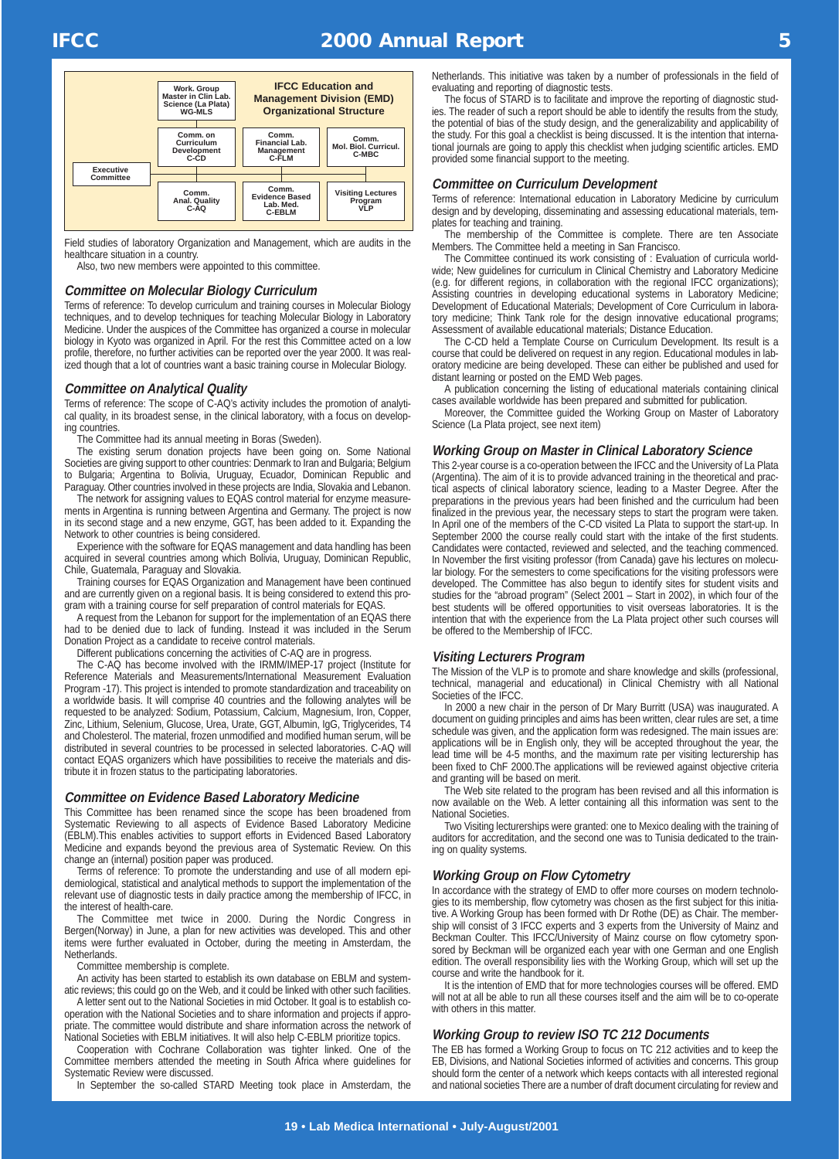# **IFCC 2000 Annual Report 5**



Field studies of laboratory Organization and Management, which are audits in the healthcare situation in a country.

Also, two new members were appointed to this committee.

# **Committee on Molecular Biology Curriculum**

Terms of reference: To develop curriculum and training courses in Molecular Biology techniques, and to develop techniques for teaching Molecular Biology in Laboratory Medicine. Under the auspices of the Committee has organized a course in molecular biology in Kyoto was organized in April. For the rest this Committee acted on a low profile, therefore, no further activities can be reported over the year 2000. It was realized though that a lot of countries want a basic training course in Molecular Biology.

### **Committee on Analytical Quality**

Terms of reference: The scope of C-AQ's activity includes the promotion of analytical quality, in its broadest sense, in the clinical laboratory, with a focus on developing countries.

The Committee had its annual meeting in Boras (Sweden).

The existing serum donation projects have been going on. Some National Societies are giving support to other countries: Denmark to Iran and Bulgaria; Belgium to Bulgaria; Argentina to Bolivia, Uruguay, Ecuador, Dominican Republic and Paraguay. Other countries involved in these projects are India, Slovakia and Lebanon.

The network for assigning values to EQAS control material for enzyme measurements in Argentina is running between Argentina and Germany. The project is now in its second stage and a new enzyme, GGT, has been added to it. Expanding the Network to other countries is being considered.

Experience with the software for EQAS management and data handling has been acquired in several countries among which Bolivia, Uruguay, Dominican Republic, Chile, Guatemala, Paraguay and Slovakia.

Training courses for EQAS Organization and Management have been continued and are currently given on a regional basis. It is being considered to extend this program with a training course for self preparation of control materials for EQAS.

A request from the Lebanon for support for the implementation of an EQAS there had to be denied due to lack of funding. Instead it was included in the Serum Donation Project as a candidate to receive control materials.

Different publications concerning the activities of C-AQ are in progress.

The C-AQ has become involved with the IRMM/IMEP-17 project (Institute for Reference Materials and Measurements/International Measurement Evaluation Program -17). This project is intended to promote standardization and traceability on a worldwide basis. It will comprise 40 countries and the following analytes will be requested to be analyzed: Sodium, Potassium, Calcium, Magnesium, Iron, Copper, Zinc, Lithium, Selenium, Glucose, Urea, Urate, GGT, Albumin, IgG, Triglycerides, T4 and Cholesterol. The material, frozen unmodified and modified human serum, will be distributed in several countries to be processed in selected laboratories. C-AQ will contact EQAS organizers which have possibilities to receive the materials and distribute it in frozen status to the participating laboratories.

### **Committee on Evidence Based Laboratory Medicine**

This Committee has been renamed since the scope has been broadened from Systematic Reviewing to all aspects of Evidence Based Laboratory Medicine (EBLM).This enables activities to support efforts in Evidenced Based Laboratory Medicine and expands beyond the previous area of Systematic Review. On this change an (internal) position paper was produced.

Terms of reference: To promote the understanding and use of all modern epidemiological, statistical and analytical methods to support the implementation of the relevant use of diagnostic tests in daily practice among the membership of IFCC, in the interest of health-care.

The Committee met twice in 2000. During the Nordic Congress in Bergen(Norway) in June, a plan for new activities was developed. This and other items were further evaluated in October, during the meeting in Amsterdam, the Netherlands.

Committee membership is complete.

An activity has been started to establish its own database on EBLM and systematic reviews; this could go on the Web, and it could be linked with other such facilities.

A letter sent out to the National Societies in mid October. It goal is to establish cooperation with the National Societies and to share information and projects if appropriate. The committee would distribute and share information across the network of National Societies with EBLM initiatives. It will also help C-EBLM prioritize topics.

Cooperation with Cochrane Collaboration was tighter linked. One of the Committee members attended the meeting in South Africa where guidelines for Systematic Review were discussed.

In September the so-called STARD Meeting took place in Amsterdam, the

Netherlands. This initiative was taken by a number of professionals in the field of evaluating and reporting of diagnostic tests.

The focus of STARD is to facilitate and improve the reporting of diagnostic studies. The reader of such a report should be able to identify the results from the study, the potential of bias of the study design, and the generalizability and applicability of the study. For this goal a checklist is being discussed. It is the intention that international journals are going to apply this checklist when judging scientific articles. EMD provided some financial support to the meeting.

### **Committee on Curriculum Development**

Terms of reference: International education in Laboratory Medicine by curriculum design and by developing, disseminating and assessing educational materials, templates for teaching and training.

The membership of the Committee is complete. There are ten Associate Members. The Committee held a meeting in San Francisco.

The Committee continued its work consisting of : Evaluation of curricula worldwide; New guidelines for curriculum in Clinical Chemistry and Laboratory Medicine (e.g. for different regions, in collaboration with the regional IFCC organizations); Assisting countries in developing educational systems in Laboratory Medicine; Development of Educational Materials; Development of Core Curriculum in laboratory medicine; Think Tank role for the design innovative educational programs; Assessment of available educational materials; Distance Education.

The C-CD held a Template Course on Curriculum Development. Its result is a course that could be delivered on request in any region. Educational modules in laboratory medicine are being developed. These can either be published and used for distant learning or posted on the EMD Web pages.

A publication concerning the listing of educational materials containing clinical cases available worldwide has been prepared and submitted for publication.

Moreover, the Committee guided the Working Group on Master of Laboratory Science (La Plata project, see next item)

### **Working Group on Master in Clinical Laboratory Science**

This 2-year course is a co-operation between the IFCC and the University of La Plata (Argentina). The aim of it is to provide advanced training in the theoretical and practical aspects of clinical laboratory science, leading to a Master Degree. After the preparations in the previous years had been finished and the curriculum had been finalized in the previous year, the necessary steps to start the program were taken. In April one of the members of the C-CD visited La Plata to support the start-up. In September 2000 the course really could start with the intake of the first students. Candidates were contacted, reviewed and selected, and the teaching commenced. In November the first visiting professor (from Canada) gave his lectures on molecular biology. For the semesters to come specifications for the visiting professors were developed. The Committee has also begun to identify sites for student visits and studies for the "abroad program" (Select 2001 – Start in 2002), in which four of the best students will be offered opportunities to visit overseas laboratories. It is the intention that with the experience from the La Plata project other such courses will be offered to the Membership of IFCC.

### **Visiting Lecturers Program**

The Mission of the VLP is to promote and share knowledge and skills (professional, technical, managerial and educational) in Clinical Chemistry with all National Societies of the IFCC.

In 2000 a new chair in the person of Dr Mary Burritt (USA) was inaugurated. A document on guiding principles and aims has been written, clear rules are set, a time schedule was given, and the application form was redesigned. The main issues are: applications will be in English only, they will be accepted throughout the year, the lead time will be 4-5 months, and the maximum rate per visiting lecturership has been fixed to ChF 2000.The applications will be reviewed against objective criteria and granting will be based on merit.

The Web site related to the program has been revised and all this information is now available on the Web. A letter containing all this information was sent to the National Societies.

Two Visiting lecturerships were granted: one to Mexico dealing with the training of auditors for accreditation, and the second one was to Tunisia dedicated to the training on quality systems.

### **Working Group on Flow Cytometry**

In accordance with the strategy of EMD to offer more courses on modern technologies to its membership, flow cytometry was chosen as the first subject for this initiative. A Working Group has been formed with Dr Rothe (DE) as Chair. The membership will consist of 3 IFCC experts and 3 experts from the University of Mainz and Beckman Coulter. This IFCC/University of Mainz course on flow cytometry sponsored by Beckman will be organized each year with one German and one English edition. The overall responsibility lies with the Working Group, which will set up the course and write the handbook for it.

It is the intention of EMD that for more technologies courses will be offered. EMD will not at all be able to run all these courses itself and the aim will be to co-operate with others in this matter.

### **Working Group to review ISO TC 212 Documents**

The EB has formed a Working Group to focus on TC 212 activities and to keep the EB, Divisions, and National Societies informed of activities and concerns. This group should form the center of a network which keeps contacts with all interested regional and national societies There are a number of draft document circulating for review and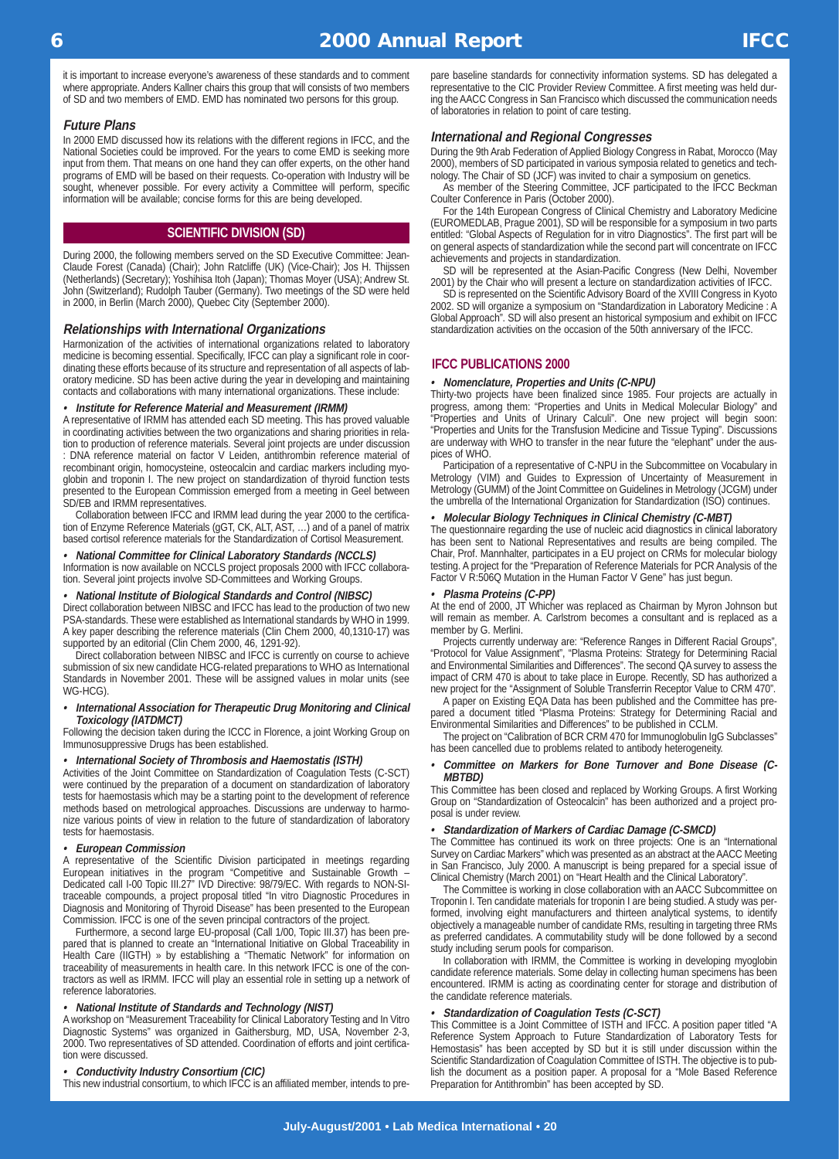it is important to increase everyone's awareness of these standards and to comment where appropriate. Anders Kallner chairs this group that will consists of two members of SD and two members of EMD. EMD has nominated two persons for this group.

### **Future Plans**

In 2000 EMD discussed how its relations with the different regions in IFCC, and the National Societies could be improved. For the years to come EMD is seeking more input from them. That means on one hand they can offer experts, on the other hand programs of EMD will be based on their requests. Co-operation with Industry will be sought, whenever possible. For every activity a Committee will perform, specific information will be available; concise forms for this are being developed.

### **SCIENTIFIC DIVISION (SD)**

During 2000, the following members served on the SD Executive Committee: Jean-Claude Forest (Canada) (Chair); John Ratcliffe (UK) (Vice-Chair); Jos H. Thijssen (Netherlands) (Secretary); Yoshihisa Itoh (Japan); Thomas Moyer (USA); Andrew St. John (Switzerland); Rudolph Tauber (Germany). Two meetings of the SD were held in 2000, in Berlin (March 2000), Quebec City (September 2000).

### **Relationships with International Organizations**

Harmonization of the activities of international organizations related to laboratory medicine is becoming essential. Specifically, IFCC can play a significant role in coordinating these efforts because of its structure and representation of all aspects of laboratory medicine. SD has been active during the year in developing and maintaining contacts and collaborations with many international organizations. These include:

### **•Institute for Reference Material and Measurement (IRMM)**

A representative of IRMM has attended each SD meeting. This has proved valuable in coordinating activities between the two organizations and sharing priorities in relation to production of reference materials. Several joint projects are under discussion : DNA reference material on factor V Leiden, antithrombin reference material of recombinant origin, homocysteine, osteocalcin and cardiac markers including myoglobin and troponin I. The new project on standardization of thyroid function tests presented to the European Commission emerged from a meeting in Geel between SD/EB and IRMM representatives.

Collaboration between IFCC and IRMM lead during the year 2000 to the certification of Enzyme Reference Materials (gGT, CK, ALT, AST, …) and of a panel of matrix based cortisol reference materials for the Standardization of Cortisol Measurement.

### **•National Committee for Clinical Laboratory Standards (NCCLS)**

Information is now available on NCCLS project proposals 2000 with IFCC collaboration. Several joint projects involve SD-Committees and Working Groups.

### **•National Institute of Biological Standards and Control (NIBSC)**

Direct collaboration between NIBSC and IFCC has lead to the production of two new PSA-standards. These were established as International standards by WHO in 1999. A key paper describing the reference materials (Clin Chem 2000, 40,1310-17) was supported by an editorial (Clin Chem 2000, 46, 1291-92).

Direct collaboration between NIBSC and IFCC is currently on course to achieve submission of six new candidate HCG-related preparations to WHO as International Standards in November 2001. These will be assigned values in molar units (see WG-HCG).

### **• International Association for Therapeutic Drug Monitoring and Clinical Toxicology (IATDMCT)**

Following the decision taken during the ICCC in Florence, a joint Working Group on Immunosuppressive Drugs has been established.

### **• International Society of Thrombosis and Haemostatis (ISTH)**

Activities of the Joint Committee on Standardization of Coagulation Tests (C-SCT) were continued by the preparation of a document on standardization of laboratory tests for haemostasis which may be a starting point to the development of reference methods based on metrological approaches. Discussions are underway to harmonize various points of view in relation to the future of standardization of laboratory tests for haemostasis.

### **• European Commission**

A representative of the Scientific Division participated in meetings regarding European initiatives in the program "Competitive and Sustainable Growth – Dedicated call I-00 Topic III.27" IVD Directive: 98/79/EC. With regards to NON-SItraceable compounds, a project proposal titled "In vitro Diagnostic Procedures in Diagnosis and Monitoring of Thyroid Disease" has been presented to the European Commission. IFCC is one of the seven principal contractors of the project.

Furthermore, a second large EU-proposal (Call 1/00, Topic III.37) has been prepared that is planned to create an "International Initiative on Global Traceability in Health Care (IIGTH) » by establishing a "Thematic Network" for information on traceability of measurements in health care. In this network IFCC is one of the contractors as well as IRMM. IFCC will play an essential role in setting up a network of reference laboratories.

### **• National Institute of Standards and Technology (NIST)**

A workshop on "Measurement Traceability for Clinical Laboratory Testing and In Vitro Diagnostic Systems" was organized in Gaithersburg, MD, USA, November 2-3, 2000. Two representatives of SD attended. Coordination of efforts and joint certification were discussed.

### **• Conductivity Industry Consortium (CIC)**

This new industrial consortium, to which IFCC is an affiliated member, intends to pre-

pare baseline standards for connectivity information systems. SD has delegated a representative to the CIC Provider Review Committee. A first meeting was held during the AACC Congress in San Francisco which discussed the communication needs of laboratories in relation to point of care testing.

# **International and Regional Congresses**

During the 9th Arab Federation of Applied Biology Congress in Rabat, Morocco (May 2000), members of SD participated in various symposia related to genetics and technology. The Chair of SD (JCF) was invited to chair a symposium on genetics.

As member of the Steering Committee, JCF participated to the IFCC Beckman Coulter Conference in Paris (October 2000).

For the 14th European Congress of Clinical Chemistry and Laboratory Medicine (EUROMEDLAB, Prague 2001), SD will be responsible for a symposium in two parts entitled: "Global Aspects of Regulation for in vitro Diagnostics". The first part will be on general aspects of standardization while the second part will concentrate on IFCC achievements and projects in standardization.

SD will be represented at the Asian-Pacific Congress (New Delhi, November 2001) by the Chair who will present a lecture on standardization activities of IFCC.

SD is represented on the Scientific Advisory Board of the XVIII Congress in Kyoto 2002. SD will organize a symposium on "Standardization in Laboratory Medicine : A Global Approach". SD will also present an historical symposium and exhibit on IFCC standardization activities on the occasion of the 50th anniversary of the IFCC.

### **IFCC PUBLICATIONS 2000**

### **• Nomenclature, Properties and Units (C-NPU)**

Thirty-two projects have been finalized since 1985. Four projects are actually in progress, among them: "Properties and Units in Medical Molecular Biology" and "Properties and Units of Urinary Calculi". One new project will begin soon: "Properties and Units for the Transfusion Medicine and Tissue Typing". Discussions are underway with WHO to transfer in the near future the "elephant" under the auspices of WHO.

Participation of a representative of C-NPU in the Subcommittee on Vocabulary in Metrology (VIM) and Guides to Expression of Uncertainty of Measurement in Metrology (GUMM) of the Joint Committee on Guidelines in Metrology (JCGM) under the umbrella of the International Organization for Standardization (ISO) continues.

### **•Molecular Biology Techniques in Clinical Chemistry (C-MBT)**

The questionnaire regarding the use of nucleic acid diagnostics in clinical laboratory has been sent to National Representatives and results are being compiled. The Chair, Prof. Mannhalter, participates in a EU project on CRMs for molecular biology testing. A project for the "Preparation of Reference Materials for PCR Analysis of the Factor V R:506Q Mutation in the Human Factor V Gene" has just begun.

### **•Plasma Proteins (C-PP)**

At the end of 2000, JT Whicher was replaced as Chairman by Myron Johnson but will remain as member. A. Carlstrom becomes a consultant and is replaced as a member by G. Merlini.

Projects currently underway are: "Reference Ranges in Different Racial Groups", "Protocol for Value Assignment", "Plasma Proteins: Strategy for Determining Racial and Environmental Similarities and Differences". The second QA survey to assess the impact of CRM 470 is about to take place in Europe. Recently, SD has authorized a new project for the "Assignment of Soluble Transferrin Receptor Value to CRM 470".

A paper on Existing EQA Data has been published and the Committee has prepared a document titled "Plasma Proteins: Strategy for Determining Racial and Environmental Similarities and Differences" to be published in CCLM.

The project on "Calibration of BCR CRM 470 for Immunoglobulin IgG Subclasses" has been cancelled due to problems related to antibody heterogeneity.

### **• Committee on Markers for Bone Turnover and Bone Disease (C-MBTBD)**

This Committee has been closed and replaced by Working Groups. A first Working Group on "Standardization of Osteocalcin" has been authorized and a project proposal is under review.

### **•Standardization of Markers of Cardiac Damage (C-SMCD)**

The Committee has continued its work on three projects: One is an "International Survey on Cardiac Markers" which was presented as an abstract at the AACC Meeting in San Francisco, July 2000. A manuscript is being prepared for a special issue of Clinical Chemistry (March 2001) on "Heart Health and the Clinical Laboratory".

The Committee is working in close collaboration with an AACC Subcommittee on Troponin I. Ten candidate materials for troponin I are being studied. A study was performed, involving eight manufacturers and thirteen analytical systems, to identify objectively a manageable number of candidate RMs, resulting in targeting three RMs as preferred candidates. A commutability study will be done followed by a second study including serum pools for comparison.

In collaboration with IRMM, the Committee is working in developing myoglobin candidate reference materials. Some delay in collecting human specimens has been encountered. IRMM is acting as coordinating center for storage and distribution of the candidate reference materials.

### **Standardization of Coagulation Tests (C-SCT)**

• Standardization of Coagulation Tests (C-SCT)<br>This Committee is a Joint Committee of ISTH and IFCC. A position paper titled "A Reference System Approach to Future Standardization of Laboratory Tests for Hemostasis" has been accepted by SD but it is still under discussion within the Scientific Standardization of Coagulation Committee of ISTH. The objective is to publish the document as a position paper. A proposal for a "Mole Based Reference Preparation for Antithrombin" has been accepted by SD.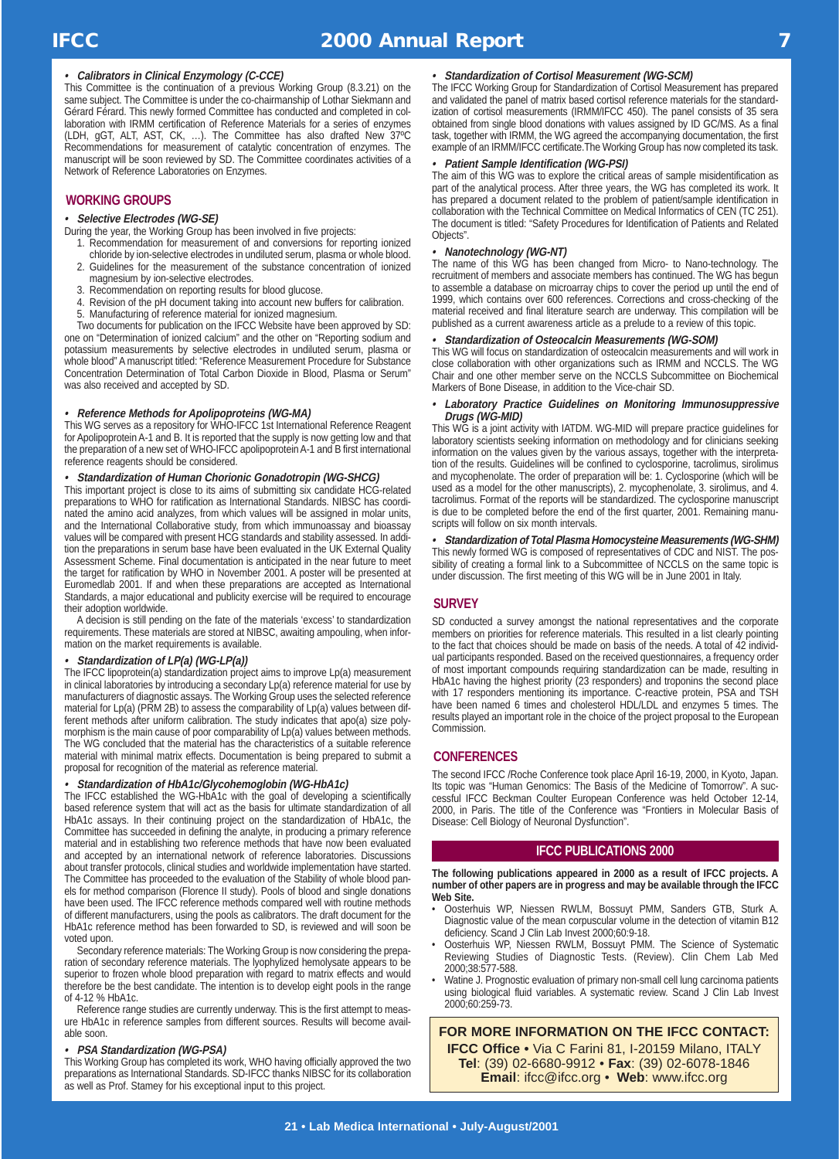### **•Calibrators in Clinical Enzymology (C-CCE)**

This Committee is the continuation of a previous Working Group (8.3.21) on the same subject. The Committee is under the co-chairmanship of Lothar Siekmann and Gérard Férard. This newly formed Committee has conducted and completed in collaboration with IRMM certification of Reference Materials for a series of enzymes (LDH, gGT, ALT, AST, CK, …). The Committee has also drafted New 37ºC Recommendations for measurement of catalytic concentration of enzymes. The manuscript will be soon reviewed by SD. The Committee coordinates activities of a Network of Reference Laboratories on Enzymes.

# **WORKING GROUPS**

### **• Selective Electrodes (WG-SE)**

- During the year, the Working Group has been involved in five projects:
	- 1. Recommendation for measurement of and conversions for reporting ionized chloride by ion-selective electrodes in undiluted serum, plasma or whole blood.
	- 2. Guidelines for the measurement of the substance concentration of ionized magnesium by ion-selective electrodes.
	- 3. Recommendation on reporting results for blood glucose.
	- 4. Revision of the pH document taking into account new buffers for calibration.
	- 5. Manufacturing of reference material for ionized magnesium.

Two documents for publication on the IFCC Website have been approved by SD: one on "Determination of ionized calcium" and the other on "Reporting sodium and potassium measurements by selective electrodes in undiluted serum, plasma or whole blood" A manuscript titled: "Reference Measurement Procedure for Substance Concentration Determination of Total Carbon Dioxide in Blood, Plasma or Serum" was also received and accepted by SD.

### **• Reference Methods for Apolipoproteins (WG-MA)**

This WG serves as a repository for WHO-IFCC 1st International Reference Reagent for Apolipoprotein A-1 and B. It is reported that the supply is now getting low and that the preparation of a new set of WHO-IFCC apolipoprotein A-1 and B first international reference reagents should be considered.

### **•Standardization of Human Chorionic Gonadotropin (WG-SHCG)**

This important project is close to its aims of submitting six candidate HCG-related preparations to WHO for ratification as International Standards. NIBSC has coordinated the amino acid analyzes, from which values will be assigned in molar units, and the International Collaborative study, from which immunoassay and bioassay values will be compared with present HCG standards and stability assessed. In addition the preparations in serum base have been evaluated in the UK External Quality Assessment Scheme. Final documentation is anticipated in the near future to meet the target for ratification by WHO in November 2001. A poster will be presented at Euromedlab 2001. If and when these preparations are accepted as International Standards, a major educational and publicity exercise will be required to encourage their adoption worldwide.

A decision is still pending on the fate of the materials 'excess' to standardization requirements. These materials are stored at NIBSC, awaiting ampouling, when information on the market requirements is available.

### **• Standardization of LP(a) (WG-LP(a))**

The IFCC lipoprotein(a) standardization project aims to improve Lp(a) measurement in clinical laboratories by introducing a secondary Lp(a) reference material for use by manufacturers of diagnostic assays. The Working Group uses the selected reference material for Lp(a) (PRM 2B) to assess the comparability of Lp(a) values between different methods after uniform calibration. The study indicates that apo(a) size polymorphism is the main cause of poor comparability of Lp(a) values between methods. The WG concluded that the material has the characteristics of a suitable reference material with minimal matrix effects. Documentation is being prepared to submit a proposal for recognition of the material as reference material.

### **• Standardization of HbA1c/Glycohemoglobin (WG-HbA1c)**

The IFCC established the WG-HbA1c with the goal of developing a scientifically based reference system that will act as the basis for ultimate standardization of all HbA1c assays. In their continuing project on the standardization of HbA1c, the Committee has succeeded in defining the analyte, in producing a primary reference material and in establishing two reference methods that have now been evaluated and accepted by an international network of reference laboratories. Discussions about transfer protocols, clinical studies and worldwide implementation have started. The Committee has proceeded to the evaluation of the Stability of whole blood panels for method comparison (Florence II study). Pools of blood and single donations have been used. The IFCC reference methods compared well with routine methods of different manufacturers, using the pools as calibrators. The draft document for the HbA1c reference method has been forwarded to SD, is reviewed and will soon be voted upon.

Secondary reference materials: The Working Group is now considering the preparation of secondary reference materials. The lyophylized hemolysate appears to be superior to frozen whole blood preparation with regard to matrix effects and would therefore be the best candidate. The intention is to develop eight pools in the range of 4-12 % HbA1c.

Reference range studies are currently underway. This is the first attempt to measure HbA1c in reference samples from different sources. Results will become available soon.

### **•PSA Standardization (WG-PSA)**

This Working Group has completed its work, WHO having officially approved the two preparations as International Standards. SD-IFCC thanks NIBSC for its collaboration as well as Prof. Stamey for his exceptional input to this project.

### **• Standardization of Cortisol Measurement (WG-SCM)**

The IFCC Working Group for Standardization of Cortisol Measurement has prepared and validated the panel of matrix based cortisol reference materials for the standardization of cortisol measurements (IRMM/IFCC 450). The panel consists of 35 sera obtained from single blood donations with values assigned by ID GC/MS. As a final task, together with IRMM, the WG agreed the accompanying documentation, the first example of an IRMM/IFCC certificate.The Working Group has now completed its task.

### **• Patient Sample Identification (WG-PSI)**

The aim of this WG was to explore the critical areas of sample misidentification as part of the analytical process. After three years, the WG has completed its work. It has prepared a document related to the problem of patient/sample identification in collaboration with the Technical Committee on Medical Informatics of CEN (TC 251). The document is titled: "Safety Procedures for Identification of Patients and Related Objects".

### **• Nanotechnology (WG-NT)**

The name of this WG has been changed from Micro- to Nano-technology. The recruitment of members and associate members has continued. The WG has begun to assemble a database on microarray chips to cover the period up until the end of 1999, which contains over 600 references. Corrections and cross-checking of the material received and final literature search are underway. This compilation will be published as a current awareness article as a prelude to a review of this topic.

### **•Standardization of Osteocalcin Measurements (WG-SOM)**

This WG will focus on standardization of osteocalcin measurements and will work in close collaboration with other organizations such as IRMM and NCCLS. The WG Chair and one other member serve on the NCCLS Subcommittee on Biochemical Markers of Bone Disease, in addition to the Vice-chair SD.

### **• Laboratory Practice Guidelines on Monitoring Immunosuppressive Drugs (WG-MID)**

This WG is a joint activity with IATDM. WG-MID will prepare practice guidelines for laboratory scientists seeking information on methodology and for clinicians seeking information on the values given by the various assays, together with the interpretation of the results. Guidelines will be confined to cyclosporine, tacrolimus, sirolimus and mycophenolate. The order of preparation will be: 1. Cyclosporine (which will be used as a model for the other manuscripts), 2. mycophenolate, 3. sirolimus, and 4. tacrolimus. Format of the reports will be standardized. The cyclosporine manuscript is due to be completed before the end of the first quarter, 2001. Remaining manuscripts will follow on six month intervals.

**• Standardization of Total Plasma Homocysteine Measurements (WG-SHM)** This newly formed WG is composed of representatives of CDC and NIST. The possibility of creating a formal link to a Subcommittee of NCCLS on the same topic is under discussion. The first meeting of this WG will be in June 2001 in Italy.

### **SURVEY**

SD conducted a survey amongst the national representatives and the corporate members on priorities for reference materials. This resulted in a list clearly pointing to the fact that choices should be made on basis of the needs. A total of 42 individual participants responded. Based on the received questionnaires, a frequency order of most important compounds requiring standardization can be made, resulting in HbA1c having the highest priority (23 responders) and troponins the second place with 17 responders mentioning its importance. C-reactive protein, PSA and TSH have been named 6 times and cholesterol HDL/LDL and enzymes 5 times. The results played an important role in the choice of the project proposal to the European Commission.

# **CONFERENCES**

The second IFCC /Roche Conference took place April 16-19, 2000, in Kyoto, Japan. Its topic was "Human Genomics: The Basis of the Medicine of Tomorrow". A successful IFCC Beckman Coulter European Conference was held October 12-14, 2000, in Paris. The title of the Conference was "Frontiers in Molecular Basis of Disease: Cell Biology of Neuronal Dysfunction".

### **IFCC PUBLICATIONS 2000**

**The following publications appeared in 2000 as a result of IFCC projects. A number of other papers are in progress and may be available through the IFCC Web Site.**

- Oosterhuis WP, Niessen RWLM, Bossuyt PMM, Sanders GTB, Sturk A. Diagnostic value of the mean corpuscular volume in the detection of vitamin B12 deficiency. Scand J Clin Lab Invest 2000;60:9-18.
- Oosterhuis WP, Niessen RWLM, Bossuyt PMM. The Science of Systematic Reviewing Studies of Diagnostic Tests. (Review). Clin Chem Lab Med 2000;38:577-588.
- Watine J. Prognostic evaluation of primary non-small cell lung carcinoma patients using biological fluid variables. A systematic review. Scand J Clin Lab Invest 2000;60:259-73.

**FOR MORE INFORMATION ON THE IFCC CONTACT: IFCC Office •** Via C Farini 81, I-20159 Milano, ITALY **Tel**: (39) 02-6680-9912 • **Fax**: (39) 02-6078-1846 **Email**: ifcc@ifcc.org • **Web**: www.ifcc.org